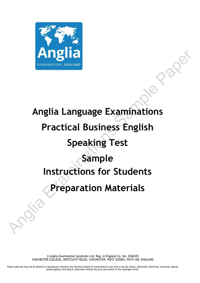

# **Anglia Language Examinations Practical Business English Speaking Test Sample Instructions for Students Preparation Materials** Anglia<br>
Anglia Language Examinations<br>
Practical Business English<br>
Speaking Test<br>
Sample<br>
Instructions for Students<br>
Preparation Materials

© Anglia Examination Syndicate Ltd. Reg. in England Co. No. 2046325 CHICHESTER COLLEGE, WESTGATE FIELDS, CHICHESTER, WEST SUSSEX, PO19 1SB, ENGLAND

These materials may not be altered or reproduced, stored in any retrieval system or transmitted in any form or by any means, electronic, electrical, chemical, optical, photocopying, recording or otherwise without the prior permission of the copyright owner.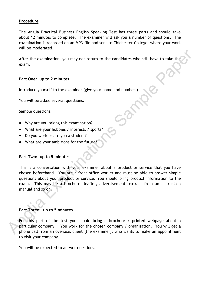# **Procedure**

The Anglia Practical Business English Speaking Test has three parts and should take about 12 minutes to complete. The examiner will ask you a number of questions. The examination is recorded on an MP3 file and sent to Chichester College, where your work will be moderated.

After the examination, you may not return to the candidates who still have to take the exam.

# **Part One: up to 2 minutes**

Introduce yourself to the examiner (give your name and number.)

You will be asked several questions.

Sample questions:

- Why are you taking this examination?
- What are your hobbies / interests / sports?
- Do you work or are you a student?
- What are your ambitions for the future?

### **Part Two: up to 5 minutes**

This is a conversation with your examiner about a product or service that you have chosen beforehand. You are a front-office worker and must be able to answer simple questions about your product or service. You should bring product information to the exam. This may be a brochure, leaflet, advertisement, extract from an instruction manual and so on. After the examination, you may not return to the candidates who still have to take the<br>
exam.<br>
Part One: up to 2 minutes<br>
Introduce yourself to the examiner (give your name and number.)<br>
You will be asked several questions

# **Part Three: up to 5 minutes**

For this part of the test you should bring a brochure / printed webpage about a particular company. You work for the chosen company / organisation. You will get a phone call from an overseas client (the examiner), who wants to make an appointment to visit your company.

You will be expected to answer questions.